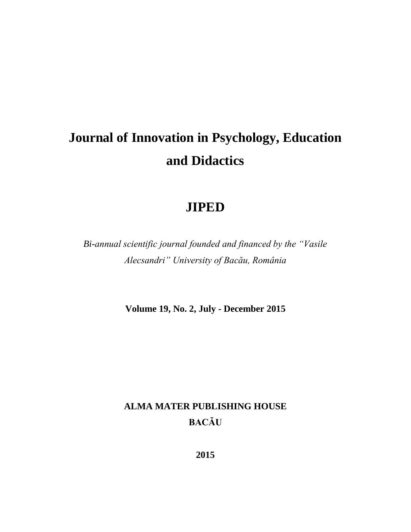# **Journal of Innovation in Psychology, Education and Didactics**

# **JIPED**

*Bi-annual scientific journal founded and financed by the "Vasile Alecsandri" University of Bacău, România*

**Volume 19, No. 2, July - December 2015**

# **ALMA MATER PUBLISHING HOUSE BACĂU**

**2015**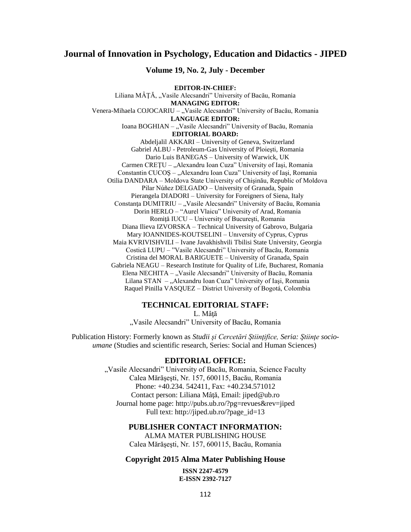### **Journal of Innovation in Psychology, Education and Didactics - JIPED**

#### **Volume 19, No. 2, July - December**

**EDITOR-IN-CHIEF:** Liliana MÂȚĂ, "Vasile Alecsandri" University of Bacău, Romania **MANAGING EDITOR:** Venera-Mihaela COJOCARIU – "Vasile Alecsandri" University of Bacău, Romania **LANGUAGE EDITOR:** Ioana BOGHIAN – "Vasile Alecsandri" University of Bacău, Romania **EDITORIAL BOARD:** Abdeljalil AKKARI – University of Geneva, Switzerland Gabriel ALBU - Petroleum-Gas University of Ploieşti, Romania Dario Luis BANEGAS – University of Warwick, UK Carmen CREȚU – "Alexandru Ioan Cuza" University of Iași, Romania Constantin CUCOŞ – "Alexandru Ioan Cuza" University of Iaşi, Romania Otilia DANDARA – Moldova State University of Chişinău, Republic of Moldova Pilar Núñez DELGADO – University of Granada, Spain Pierangela DIADORI – University for Foreigners of Siena, Italy Constanța DUMITRIU – "Vasile Alecsandri" University of Bacău, Romania Dorin HERLO – "Aurel Vlaicu" University of Arad, Romania Romiţă IUCU – University of Bucureşti, Romania Diana Ilieva IZVORSKA – Technical University of Gabrovo, Bulgaria Mary IOANNIDES-KOUTSELINI – Unıversity of Cyprus, Cyprus Maia KVRIVISHVILI – Ivane Javakhishvili Tbilisi State University, Georgia Costică LUPU – "Vasile Alecsandri" University of Bacău, Romania Cristina del MORAL BARIGUETE – University of Granada, Spain Gabriela NEAGU – Research Institute for Quality of Life, Bucharest, Romania Elena NECHITA – "Vasile Alecsandri" University of Bacău, Romania Lilana STAN – "Alexandru Ioan Cuza" University of Iași, Romania Raquel Pinilla VASQUEZ – District University of Bogotá, Colombia

#### **TECHNICAL EDITORIAL STAFF:**

L. Mâţă

"Vasile Alecsandri" University of Bacău, Romania

Publication History: Formerly known as *Studii şi Cercetări Ştiinţifice, Seria: Ştiinţe socioumane* (Studies and scientific research, Series: Social and Human Sciences)

#### **EDITORIAL OFFICE:**

"Vasile Alecsandri" University of Bacău, Romania, Science Faculty Calea Mărăşeşti, Nr. 157, 600115, Bacău, Romania Phone: +40.234. 542411, Fax: +40.234.571012 Contact person: Liliana Mâţă, Email: [jiped@ub.ro](mailto:jiped@ub.ro) Journal home page: <http://pubs.ub.ro/?pg=revues&rev=jiped> Full text: [http://jiped.ub.ro/?page\\_id=13](http://jiped.ub.ro/?page_id=13)

#### **PUBLISHER CONTACT INFORMATION:**

ALMA MATER PUBLISHING HOUSE Calea Mărăşeşti, Nr. 157, 600115, Bacău, Romania

#### **Copyright 2015 Alma Mater Publishing House**

**ISSN 2247-4579 E-ISSN 2392-7127**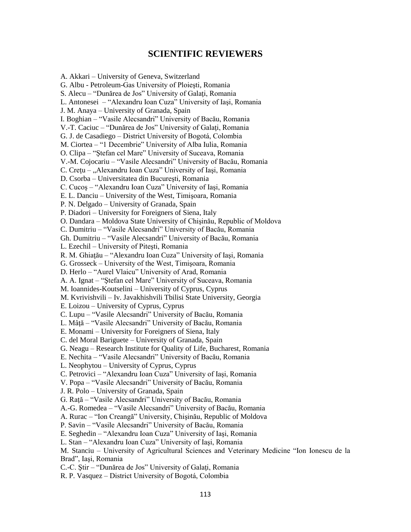## **SCIENTIFIC REVIEWERS**

A. Akkari – University of Geneva, Switzerland G. Albu - Petroleum-Gas University of Ploieşti, Romania S. Alecu – "Dunărea de Jos" University of Galati, Romania L. Antonesei – "Alexandru Ioan Cuza" University of Iaşi, Romania J. M. Anaya – University of Granada, Spain I. Boghian – "Vasile Alecsandri" University of Bacău, Romania V.-T. Caciuc – "Dunărea de Jos" University of Galaţi, Romania G. J. de Casadiego – District University of Bogotá, Colombia M. Ciortea – "1 Decembrie" University of Alba Iulia, Romania O. Clipa – "Ştefan cel Mare" University of Suceava, Romania V.-M. Cojocariu – "Vasile Alecsandri" University of Bacău, Romania C. Crețu – "Alexandru Ioan Cuza" University of Iași, Romania D. Csorba – Universitatea din Bucureşti, Romania C. Cucoş – "Alexandru Ioan Cuza" University of Iaşi, Romania E. L. Danciu – University of the West, Timişoara, Romania P. N. Delgado – University of Granada, Spain P. Diadori – University for Foreigners of Siena, Italy O. Dandara – Moldova State University of Chişinău, Republic of Moldova C. Dumitriu – "Vasile Alecsandri" University of Bacău, Romania Gh. Dumitriu – "Vasile Alecsandri" University of Bacău, Romania L. Ezechil – University of Piteşti, Romania R. M. Ghiaţău – "Alexandru Ioan Cuza" University of Iaşi, Romania G. Grosseck – University of the West, Timişoara, Romania D. Herlo – "Aurel Vlaicu" University of Arad, Romania A. A. Ignat – "Ştefan cel Mare" University of Suceava, Romania M. Ioannides-Koutselini – University of Cyprus, Cyprus M. Kvrivishvili – Iv. Javakhishvili Tbilisi State University, Georgia E. Loizou – University of Cyprus, Cyprus C. Lupu – "Vasile Alecsandri" University of Bacău, Romania L. Mâţă – "Vasile Alecsandri" University of Bacău, Romania E. Monami – University for Foreigners of Siena, Italy C. del Moral Bariguete – University of Granada, Spain G. Neagu – Research Institute for Quality of Life, Bucharest, Romania E. Nechita – "Vasile Alecsandri" University of Bacău, Romania L. Neophytou – University of Cyprus, Cyprus C. Petrovici – "Alexandru Ioan Cuza" University of Iaşi, Romania V. Popa – "Vasile Alecsandri" University of Bacău, Romania J. R. Polo – University of Granada, Spain G. Raţă – "Vasile Alecsandri" University of Bacău, Romania A.-G. Romedea – "Vasile Alecsandri" University of Bacău, Romania A. Rurac – "Ion Creangă" University, Chişinău, Republic of Moldova P. Savin – "Vasile Alecsandri" University of Bacău, Romania E. Seghedin – "Alexandru Ioan Cuza" University of Iaşi, Romania L. Stan – "Alexandru Ioan Cuza" University of Iaşi, Romania M. Stanciu – University of Agricultural Sciences and Veterinary Medicine "Ion Ionescu de la Brad", Iaşi, Romania C.-C. Ştir – "Dunărea de Jos" University of Galaţi, Romania R. P. Vasquez – District University of Bogotá, Colombia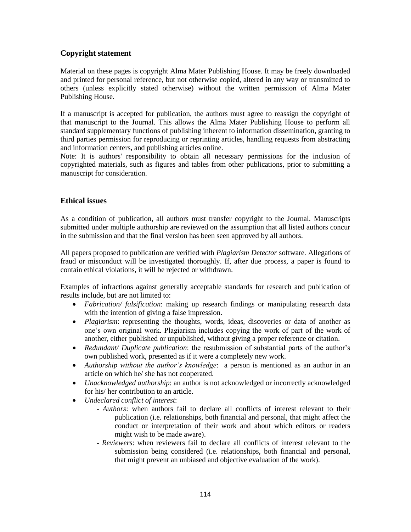### **Copyright statement**

Material on these pages is copyright Alma Mater Publishing House. It may be freely downloaded and printed for personal reference, but not otherwise copied, altered in any way or transmitted to others (unless explicitly stated otherwise) without the written permission of Alma Mater Publishing House.

If a manuscript is accepted for publication, the authors must agree to reassign the copyright of that manuscript to the Journal. This allows the Alma Mater Publishing House to perform all standard supplementary functions of publishing inherent to information dissemination, granting to third parties permission for reproducing or reprinting articles, handling requests from abstracting and information centers, and publishing articles online.

Note: It is authors' responsibility to obtain all necessary permissions for the inclusion of copyrighted materials, such as figures and tables from other publications, prior to submitting a manuscript for consideration.

### **Ethical issues**

As a condition of publication, all authors must transfer copyright to the Journal. Manuscripts submitted under multiple authorship are reviewed on the assumption that all listed authors concur in the submission and that the final version has been seen approved by all authors.

All papers proposed to publication are verified with *Plagiarism Detector* software. Allegations of fraud or misconduct will be investigated thoroughly. If, after due process, a paper is found to contain ethical violations, it will be rejected or withdrawn.

Examples of infractions against generally acceptable standards for research and publication of results include, but are not limited to:

- *Fabrication/ falsification*: making up research findings or manipulating research data with the intention of giving a false impression.
- *Plagiarism*: representing the thoughts, words, ideas, discoveries or data of another as one's own original work. Plagiarism includes copying the work of part of the work of another, either published or unpublished, without giving a proper reference or citation.
- *Redundant/ Duplicate publication*: the resubmission of substantial parts of the author's own published work, presented as if it were a completely new work.
- *Authorship without the author's knowledge*: a person is mentioned as an author in an article on which he/ she has not cooperated.
- *Unacknowledged authorship*: an author is not acknowledged or incorrectly acknowledged for his/ her contribution to an article.
- *Undeclared conflict of interest*:
	- *Authors*: when authors fail to declare all conflicts of interest relevant to their publication (i.e. relationships, both financial and personal, that might affect the conduct or interpretation of their work and about which editors or readers might wish to be made aware).
	- *Reviewers*: when reviewers fail to declare all conflicts of interest relevant to the submission being considered (i.e. relationships, both financial and personal, that might prevent an unbiased and objective evaluation of the work).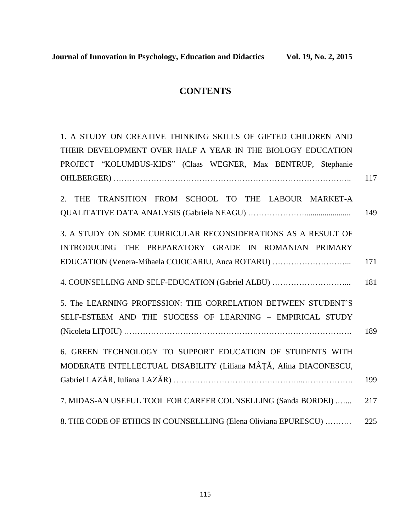# **CONTENTS**

| 1. A STUDY ON CREATIVE THINKING SKILLS OF GIFTED CHILDREN AND     |     |
|-------------------------------------------------------------------|-----|
| THEIR DEVELOPMENT OVER HALF A YEAR IN THE BIOLOGY EDUCATION       |     |
| PROJECT "KOLUMBUS-KIDS" (Claas WEGNER, Max BENTRUP, Stephanie     |     |
|                                                                   | 117 |
| TRANSITION FROM SCHOOL TO THE LABOUR MARKET-A<br><b>THE</b><br>2. |     |
|                                                                   | 149 |
| 3. A STUDY ON SOME CURRICULAR RECONSIDERATIONS AS A RESULT OF     |     |
| INTRODUCING THE PREPARATORY GRADE IN ROMANIAN PRIMARY             |     |
| EDUCATION (Venera-Mihaela COJOCARIU, Anca ROTARU)                 | 171 |
| 4. COUNSELLING AND SELF-EDUCATION (Gabriel ALBU)                  | 181 |
| 5. The LEARNING PROFESSION: THE CORRELATION BETWEEN STUDENT'S     |     |
| SELF-ESTEEM AND THE SUCCESS OF LEARNING - EMPIRICAL STUDY         |     |
|                                                                   | 189 |
| 6. GREEN TECHNOLOGY TO SUPPORT EDUCATION OF STUDENTS WITH         |     |
| MODERATE INTELLECTUAL DISABILITY (Liliana MÂȚĂ, Alina DIACONESCU, |     |
|                                                                   | 199 |
| 7. MIDAS-AN USEFUL TOOL FOR CAREER COUNSELLING (Sanda BORDEI)     | 217 |
|                                                                   |     |
| 8. THE CODE OF ETHICS IN COUNSELLLING (Elena Oliviana EPURESCU)   | 225 |